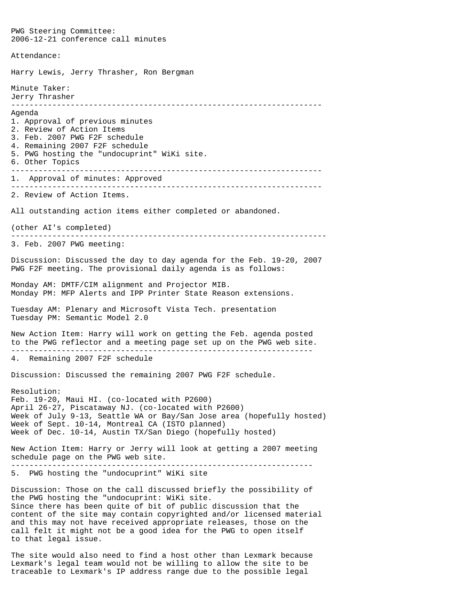PWG Steering Committee: 2006-12-21 conference call minutes Attendance: Harry Lewis, Jerry Thrasher, Ron Bergman Minute Taker: Jerry Thrasher -------------------------------------------------------------------- Agenda 1. Approval of previous minutes 2. Review of Action Items 3. Feb. 2007 PWG F2F schedule 4. Remaining 2007 F2F schedule 5. PWG hosting the "undocuprint" WiKi site. 6. Other Topics -------------------------------------------------------------------- 1. Approval of minutes: Approved -------------------------------------------------------------------- 2. Review of Action Items. All outstanding action items either completed or abandoned. (other AI's completed) --------------------------------------------------------------------- 3. Feb. 2007 PWG meeting: Discussion: Discussed the day to day agenda for the Feb. 19-20, 2007 PWG F2F meeting. The provisional daily agenda is as follows: Monday AM: DMTF/CIM alignment and Projector MIB. Monday PM: MFP Alerts and IPP Printer State Reason extensions. Tuesday AM: Plenary and Microsoft Vista Tech. presentation Tuesday PM: Semantic Model 2.0 New Action Item: Harry will work on getting the Feb. agenda posted to the PWG reflector and a meeting page set up on the PWG web site. ------------------------------------------------------------------ 4. Remaining 2007 F2F schedule Discussion: Discussed the remaining 2007 PWG F2F schedule. Resolution: Feb. 19-20, Maui HI. (co-located with P2600) April 26-27, Piscataway NJ. (co-located with P2600) Week of July 9-13, Seattle WA or Bay/San Jose area (hopefully hosted) Week of Sept. 10-14, Montreal CA (ISTO planned) Week of Dec. 10-14, Austin TX/San Diego (hopefully hosted) New Action Item: Harry or Jerry will look at getting a 2007 meeting schedule page on the PWG web site. ------------------------------------------------------------------ 5. PWG hosting the "undocuprint" WiKi site Discussion: Those on the call discussed briefly the possibility of the PWG hosting the "undocuprint: WiKi site. Since there has been quite of bit of public discussion that the content of the site may contain copyrighted and/or licensed material and this may not have received appropriate releases, those on the call felt it might not be a good idea for the PWG to open itself to that legal issue. The site would also need to find a host other than Lexmark because

Lexmark's legal team would not be willing to allow the site to be traceable to Lexmark's IP address range due to the possible legal